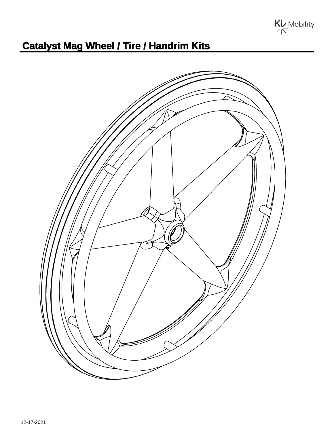

## **Catalyst Mag Wheel / Tire / Handrim Kits**

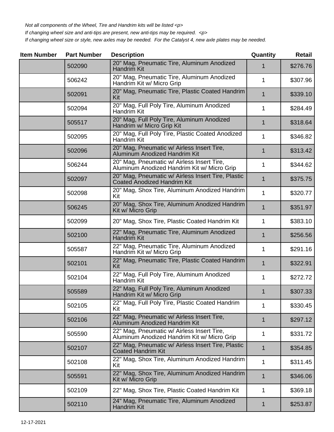Not all components of the Wheel, Tire and Handrim kits will be listed <p>

If changing wheel size and anti-tips are present, new anti-tips may be required. <p>

If changing wheel size or style, new axles may be needed. For the Catalyst 4, new axle plates may be needed.

| <b>Item Number</b> | <b>Part Number</b> | Quantity                                                                                  | <b>Retail</b> |          |
|--------------------|--------------------|-------------------------------------------------------------------------------------------|---------------|----------|
| 502090             |                    | 20" Mag, Pneumatic Tire, Aluminum Anodized<br>Handrim Kit                                 | 1             | \$276.76 |
|                    | 506242             | 20" Mag, Pneumatic Tire, Aluminum Anodized<br>Handrim Kit w/ Micro Grip                   | 1             | \$307.96 |
|                    | 502091             | 20" Mag, Pneumatic Tire, Plastic Coated Handrim<br>Kit                                    | $\mathbf 1$   | \$339.10 |
|                    | 502094             | 20" Mag, Full Poly Tire, Aluminum Anodized<br>Handrim Kit                                 | 1             | \$284.49 |
|                    | 505517             | 20" Mag, Full Poly Tire, Aluminum Anodized<br>Handrim w/ Micro Grip Kit                   | 1             | \$318.64 |
|                    | 502095             | 20" Mag, Full Poly Tire, Plastic Coated Anodized<br>Handrim Kit                           | 1             | \$346.82 |
|                    | 502096             | 20" Mag, Pneumatic w/ Airless Insert Tire,<br><b>Aluminum Anodized Handrim Kit</b>        | $\mathbf 1$   | \$313.42 |
|                    | 506244             | 20" Mag, Pneumatic w/ Airless Insert Tire,<br>Aluminum Anodized Handrim Kit w/ Micro Grip | 1             | \$344.62 |
|                    | 502097             | 20" Mag, Pneumatic w/ Airless Insert Tire, Plastic<br><b>Coated Anodized Handrim Kit</b>  | 1             | \$375.75 |
|                    | 502098             | 20" Mag, Shox Tire, Aluminum Anodized Handrim<br>Kit                                      | 1             | \$320.77 |
|                    | 506245             | 20" Mag, Shox Tire, Aluminum Anodized Handrim<br>Kit w/ Micro Grip                        | 1             | \$351.97 |
|                    | 502099             | 20" Mag, Shox Tire, Plastic Coated Handrim Kit                                            | 1             | \$383.10 |
|                    | 502100             | 22" Mag, Pneumatic Tire, Aluminum Anodized<br>Handrim Kit                                 | 1             | \$256.56 |
|                    | 505587             | 22" Mag, Pneumatic Tire, Aluminum Anodized<br>Handrim Kit w/ Micro Grip                   | 1             | \$291.16 |
|                    | 502101             | 22" Mag, Pneumatic Tire, Plastic Coated Handrim<br>Kit                                    | 1             | \$322.91 |
|                    | 502104             | 22" Mag, Full Poly Tire, Aluminum Anodized<br>Handrim Kit                                 | 1             | \$272.72 |
|                    | 505589             | 22" Mag, Full Poly Tire, Aluminum Anodized<br>Handrim Kit w/ Micro Grip                   | 1             | \$307.33 |
|                    | 502105             | 22" Mag, Full Poly Tire, Plastic Coated Handrim<br>Kit                                    | 1             | \$330.45 |
|                    | 502106             | 22" Mag, Pneumatic w/ Airless Insert Tire,<br>Aluminum Anodized Handrim Kit               | 1             | \$297.12 |
|                    | 505590             | 22" Mag, Pneumatic w/ Airless Insert Tire,<br>Aluminum Anodized Handrim Kit w/ Micro Grip | 1             | \$331.72 |
|                    | 502107             | 22" Mag, Pneumatic w/ Airless Insert Tire, Plastic<br><b>Coated Handrim Kit</b>           | 1             | \$354.85 |
|                    | 502108             | 22" Mag, Shox Tire, Aluminum Anodized Handrim<br>Kit                                      | 1             | \$311.45 |
|                    | 505591             | 22" Mag, Shox Tire, Aluminum Anodized Handrim<br>Kit w/ Micro Grip                        | $\mathbf 1$   | \$346.06 |
|                    | 502109             | 22" Mag, Shox Tire, Plastic Coated Handrim Kit                                            | 1             | \$369.18 |
|                    | 502110             | 24" Mag, Pneumatic Tire, Aluminum Anodized<br>Handrim Kit                                 | 1             | \$253.87 |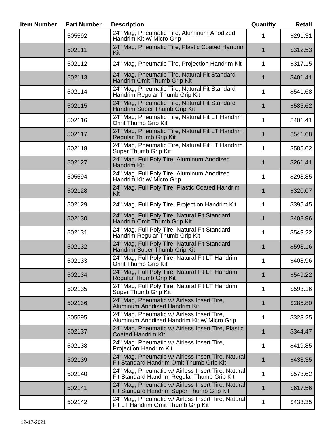| <b>Item Number</b> | <b>Part Number</b> | <b>Description</b>                                                                                |              | Retail   |
|--------------------|--------------------|---------------------------------------------------------------------------------------------------|--------------|----------|
|                    | 505592             | 24" Mag, Pneumatic Tire, Aluminum Anodized<br>Handrim Kit w/ Micro Grip                           | 1            | \$291.31 |
|                    | 502111             | 24" Mag, Pneumatic Tire, Plastic Coated Handrim<br>Kit                                            | $\mathbf{1}$ | \$312.53 |
|                    | 502112             | 24" Mag, Pneumatic Tire, Projection Handrim Kit                                                   | 1            | \$317.15 |
|                    | 502113             | 24" Mag, Pneumatic Tire, Natural Fit Standard<br>Handrim Omit Thumb Grip Kit                      | 1            | \$401.41 |
|                    | 502114             | 24" Mag, Pneumatic Tire, Natural Fit Standard<br>Handrim Regular Thumb Grip Kit                   | 1            | \$541.68 |
|                    | 502115             | 24" Mag, Pneumatic Tire, Natural Fit Standard<br>Handrim Super Thumb Grip Kit                     | 1            | \$585.62 |
|                    | 502116             | 24" Mag, Pneumatic Tire, Natural Fit LT Handrim<br>Omit Thumb Grip Kit                            | 1            | \$401.41 |
|                    | 502117             | 24" Mag, Pneumatic Tire, Natural Fit LT Handrim<br><b>Regular Thumb Grip Kit</b>                  | $\mathbf 1$  | \$541.68 |
|                    | 502118             | 24" Mag, Pneumatic Tire, Natural Fit LT Handrim<br>Super Thumb Grip Kit                           | 1            | \$585.62 |
|                    | 502127             | 24" Mag, Full Poly Tire, Aluminum Anodized<br>Handrim Kit                                         | 1            | \$261.41 |
|                    | 505594             | 24" Mag, Full Poly Tire, Aluminum Anodized<br>Handrim Kit w/ Micro Grip                           | 1            | \$298.85 |
|                    | 502128             | 24" Mag, Full Poly Tire, Plastic Coated Handrim<br>Kit                                            | $\mathbf 1$  | \$320.07 |
|                    | 502129             | 24" Mag, Full Poly Tire, Projection Handrim Kit                                                   | 1            | \$395.45 |
|                    | 502130             | 24" Mag, Full Poly Tire, Natural Fit Standard<br>Handrim Omit Thumb Grip Kit                      | 1            | \$408.96 |
|                    | 502131             | 24" Mag, Full Poly Tire, Natural Fit Standard<br>Handrim Regular Thumb Grip Kit                   | 1            | \$549.22 |
|                    | 502132             | 24" Mag, Full Poly Tire, Natural Fit Standard<br>Handrim Super Thumb Grip Kit                     | 1            | \$593.16 |
|                    | 502133             | 24" Mag, Full Poly Tire, Natural Fit LT Handrim<br>Omit Thumb Grip Kit                            | 1            | \$408.96 |
|                    | 502134             | 24" Mag, Full Poly Tire, Natural Fit LT Handrim<br>Regular Thumb Grip Kit                         | $\mathbf 1$  | \$549.22 |
|                    | 502135             | 24" Mag, Full Poly Tire, Natural Fit LT Handrim<br>Super Thumb Grip Kit                           | 1            | \$593.16 |
|                    | 502136             | 24" Mag, Pneumatic w/ Airless Insert Tire,<br>Aluminum Anodized Handrim Kit                       | 1            | \$285.80 |
|                    | 505595             | 24" Mag, Pneumatic w/ Airless Insert Tire,<br>Aluminum Anodized Handrim Kit w/ Micro Grip         | 1            | \$323.25 |
|                    | 502137             | 24" Mag, Pneumatic w/ Airless Insert Tire, Plastic<br><b>Coated Handrim Kit</b>                   | $\mathbf 1$  | \$344.47 |
|                    | 502138             | 24" Mag, Pneumatic w/ Airless Insert Tire,<br><b>Projection Handrim Kit</b>                       | 1            | \$419.85 |
|                    | 502139             | 24" Mag, Pneumatic w/ Airless Insert Tire, Natural<br>Fit Standard Handrim Omit Thumb Grip Kit    | $\mathbf 1$  | \$433.35 |
|                    | 502140             | 24" Mag, Pneumatic w/ Airless Insert Tire, Natural<br>Fit Standard Handrim Regular Thumb Grip Kit | 1            | \$573.62 |
|                    | 502141             | 24" Mag, Pneumatic w/ Airless Insert Tire, Natural<br>Fit Standard Handrim Super Thumb Grip Kit   | 1            | \$617.56 |
|                    | 502142             | 24" Mag, Pneumatic w/ Airless Insert Tire, Natural<br>Fit LT Handrim Omit Thumb Grip Kit          | 1            | \$433.35 |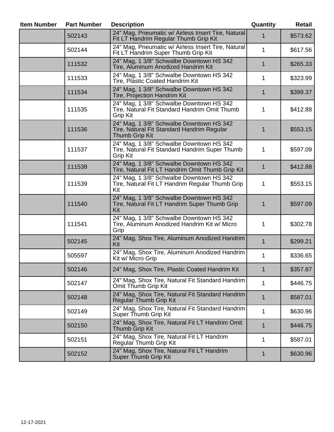| <b>Item Number</b> | <b>Part Number</b><br><b>Description</b> |                                                                                                               |              | <b>Retail</b> |
|--------------------|------------------------------------------|---------------------------------------------------------------------------------------------------------------|--------------|---------------|
|                    | 502143                                   | 24" Mag, Pneumatic w/ Airless Insert Tire, Natural<br>Fit LT Handrim Regular Thumb Grip Kit                   | 1            | \$573.62      |
|                    | 502144                                   | 24" Mag, Pneumatic w/ Airless Insert Tire, Natural<br>Fit LT Handrim Super Thumb Grip Kit                     | 1            | \$617.56      |
|                    | 111532                                   | 24" Mag, 1 3/8" Schwalbe Downtown HS 342<br>Tire, Aluminum Anodized Handrim Kit                               | 1            | \$265.33      |
|                    | 111533                                   | 24" Mag, 1 3/8" Schwalbe Downtown HS 342<br>Tire, Plastic Coated Handrim Kit                                  | 1            | \$323.99      |
|                    | 111534                                   | 24" Mag, 1 3/8" Schwalbe Downtown HS 342<br>Tire, Projection Handrim Kit                                      | $\mathbf 1$  | \$399.37      |
|                    | 111535                                   | 24" Mag, 1 3/8" Schwalbe Downtown HS 342<br>Tire, Natural Fit Standard Handrim Omit Thumb<br><b>Grip Kit</b>  | 1            | \$412.88      |
|                    | 111536                                   | 24" Mag, 1 3/8" Schwalbe Downtown HS 342<br>Tire, Natural Fit Standard Handrim Regular<br>Thumb Grip Kit      | 1            | \$553.15      |
|                    | 111537                                   | 24" Mag, 1 3/8" Schwalbe Downtown HS 342<br>Tire, Natural Fit Standard Handrim Super Thumb<br><b>Grip Kit</b> | 1            | \$597.09      |
|                    | 111538                                   | 24" Mag, 1 3/8" Schwalbe Downtown HS 342<br>Tire, Natural Fit LT Handrim Omit Thumb Grip Kit                  | $\mathbf{1}$ | \$412.88      |
|                    | 111539                                   | 24" Mag, 1 3/8" Schwalbe Downtown HS 342<br>Tire, Natural Fit LT Handrim Regular Thumb Grip<br>Kit            | 1            | \$553.15      |
|                    | 111540                                   | 24" Mag, 1 3/8" Schwalbe Downtown HS 342<br>Tire, Natural Fit LT Handrim Super Thumb Grip<br>Kit              | 1            | \$597.09      |
|                    | 111541                                   | 24" Mag, 1 3/8" Schwalbe Downtown HS 342<br>Tire, Aluminum Anodized Handrim Kit w/ Micro<br>Grip              | 1            | \$302.78      |
|                    | 502145                                   | 24" Mag, Shox Tire, Aluminum Anodized Handrim<br>Kit                                                          | 1            | \$299.21      |
|                    | 505597                                   | 24" Mag, Shox Tire, Aluminum Anodized Handrim<br>Kit w/ Micro Grip                                            | 1            | \$336.65      |
|                    | 502146                                   | 24" Mag, Shox Tire, Plastic Coated Handrim Kit                                                                | 1            | \$357.87      |
|                    | 502147                                   | 24" Mag, Shox Tire, Natural Fit Standard Handrim<br>Omit Thumb Grip Kit                                       | 1            | \$446.75      |
|                    | 502148                                   | 24" Mag, Shox Tire, Natural Fit Standard Handrim<br>Regular Thumb Grip Kit                                    | 1            | \$587.01      |
|                    | 502149                                   | 24" Mag, Shox Tire, Natural Fit Standard Handrim<br>Super Thumb Grip Kit                                      | 1            | \$630.96      |
|                    | 502150                                   | 24" Mag, Shox Tire, Natural Fit LT Handrim Omit<br>Thumb Grip Kit                                             | 1            | \$446.75      |
|                    | 502151                                   | 24" Mag, Shox Tire, Natural Fit LT Handrim<br>Regular Thumb Grip Kit                                          | 1            | \$587.01      |
|                    | 502152                                   | 24" Mag, Shox Tire, Natural Fit LT Handrim<br>Super Thumb Grip Kit                                            | 1            | \$630.96      |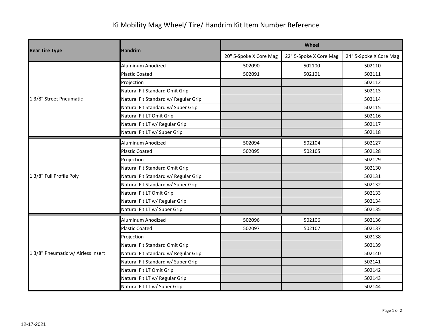## Ki Mobility Mag Wheel/ Tire/ Handrim Kit Item Number Reference

|                                    | <b>Handrim</b>                       | Wheel                  |                        |                        |  |
|------------------------------------|--------------------------------------|------------------------|------------------------|------------------------|--|
| <b>Rear Tire Type</b>              |                                      | 20" 5-Spoke X Core Mag | 22" 5-Spoke X Core Mag | 24" 5-Spoke X Core Mag |  |
|                                    | Aluminum Anodized                    | 502090                 | 502100                 | 502110                 |  |
|                                    | <b>Plastic Coated</b>                | 502091                 | 502101                 | 502111                 |  |
|                                    | Projection                           |                        |                        | 502112                 |  |
|                                    | Natural Fit Standard Omit Grip       |                        |                        | 502113                 |  |
| 1 3/8" Street Pneumatic            | Natural Fit Standard w/ Regular Grip |                        |                        | 502114                 |  |
|                                    | Natural Fit Standard w/ Super Grip   |                        |                        | 502115                 |  |
|                                    | Natural Fit LT Omit Grip             |                        |                        | 502116                 |  |
|                                    | Natural Fit LT w/ Regular Grip       |                        |                        | 502117                 |  |
|                                    | Natural Fit LT w/ Super Grip         |                        |                        | 502118                 |  |
|                                    | Aluminum Anodized                    | 502094                 | 502104                 | 502127                 |  |
|                                    | <b>Plastic Coated</b>                | 502095                 | 502105                 | 502128                 |  |
|                                    | Projection                           |                        |                        | 502129                 |  |
|                                    | Natural Fit Standard Omit Grip       |                        |                        | 502130                 |  |
| 1 3/8" Full Profile Poly           | Natural Fit Standard w/ Regular Grip |                        |                        | 502131                 |  |
|                                    | Natural Fit Standard w/ Super Grip   |                        |                        | 502132                 |  |
|                                    | Natural Fit LT Omit Grip             |                        |                        | 502133                 |  |
|                                    | Natural Fit LT w/ Regular Grip       |                        |                        | 502134                 |  |
|                                    | Natural Fit LT w/ Super Grip         |                        |                        | 502135                 |  |
|                                    | Aluminum Anodized                    | 502096                 | 502106                 | 502136                 |  |
|                                    | <b>Plastic Coated</b>                | 502097                 | 502107                 | 502137                 |  |
|                                    | Projection                           |                        |                        | 502138                 |  |
|                                    | Natural Fit Standard Omit Grip       |                        |                        | 502139                 |  |
| 1 3/8" Pneumatic w/ Airless Insert | Natural Fit Standard w/ Regular Grip |                        |                        | 502140                 |  |
|                                    | Natural Fit Standard w/ Super Grip   |                        |                        | 502141                 |  |
|                                    | Natural Fit LT Omit Grip             |                        |                        | 502142                 |  |
|                                    | Natural Fit LT w/ Regular Grip       |                        |                        | 502143                 |  |
|                                    | Natural Fit LT w/ Super Grip         |                        |                        | 502144                 |  |